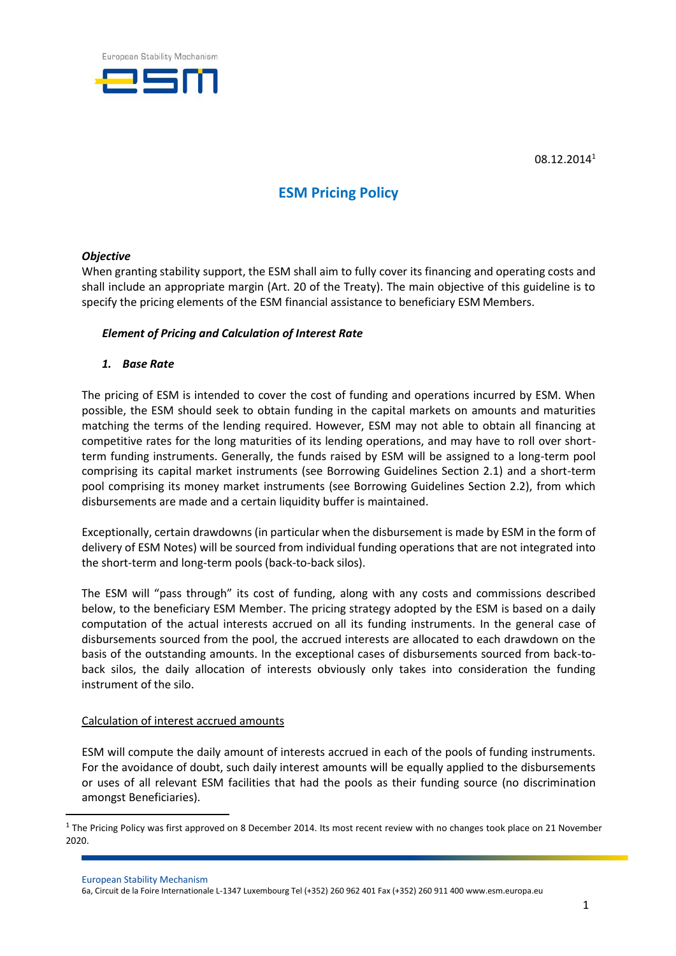

08.12.2014<sup>1</sup>

# **ESM Pricing Policy**

#### *Objective*

When granting stability support, the ESM shall aim to fully cover its financing and operating costs and shall include an appropriate margin (Art. 20 of the Treaty). The main objective of this guideline is to specify the pricing elements of the ESM financial assistance to beneficiary ESM Members.

#### *Element of Pricing and Calculation of Interest Rate*

*1. Base Rate*

The pricing of ESM is intended to cover the cost of funding and operations incurred by ESM. When possible, the ESM should seek to obtain funding in the capital markets on amounts and maturities matching the terms of the lending required. However, ESM may not able to obtain all financing at competitive rates for the long maturities of its lending operations, and may have to roll over shortterm funding instruments. Generally, the funds raised by ESM will be assigned to a long-term pool comprising its capital market instruments (see Borrowing Guidelines Section 2.1) and a short-term pool comprising its money market instruments (see Borrowing Guidelines Section 2.2), from which disbursements are made and a certain liquidity buffer is maintained.

Exceptionally, certain drawdowns (in particular when the disbursement is made by ESM in the form of delivery of ESM Notes) will be sourced from individual funding operations that are not integrated into the short-term and long-term pools (back-to-back silos).

The ESM will "pass through" its cost of funding, along with any costs and commissions described below, to the beneficiary ESM Member. The pricing strategy adopted by the ESM is based on a daily computation of the actual interests accrued on all its funding instruments. In the general case of disbursements sourced from the pool, the accrued interests are allocated to each drawdown on the basis of the outstanding amounts. In the exceptional cases of disbursements sourced from back-toback silos, the daily allocation of interests obviously only takes into consideration the funding instrument of the silo.

#### Calculation of interest accrued amounts

ESM will compute the daily amount of interests accrued in each of the pools of funding instruments. For the avoidance of doubt, such daily interest amounts will be equally applied to the disbursements or uses of all relevant ESM facilities that had the pools as their funding source (no discrimination amongst Beneficiaries).

European Stability Mechanism

 $1$  The Pricing Policy was first approved on 8 December 2014. Its most recent review with no changes took place on 21 November 2020.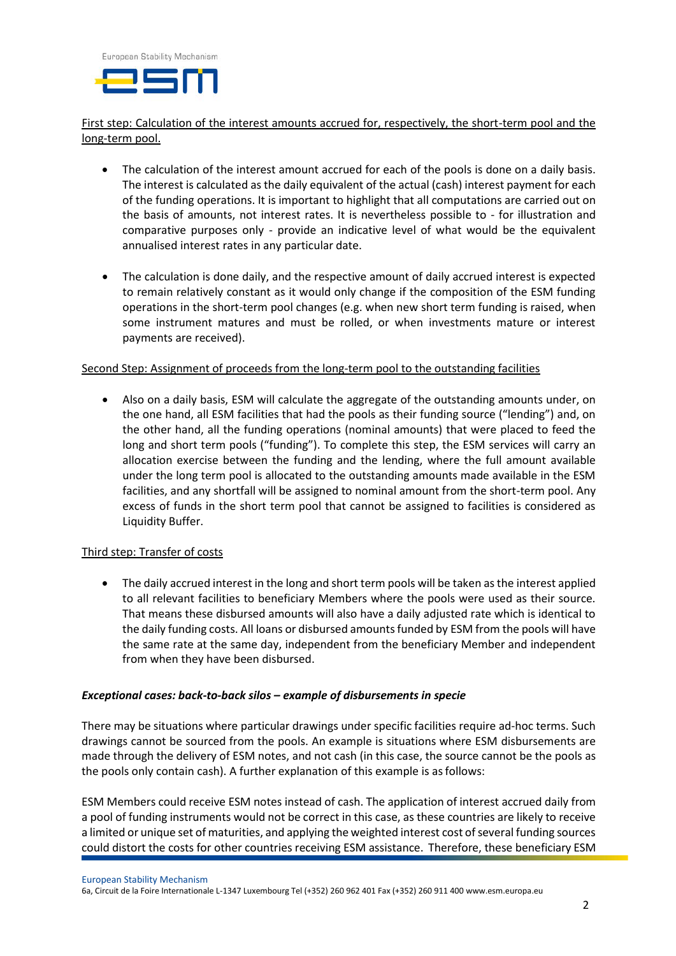

# First step: Calculation of the interest amounts accrued for, respectively, the short-term pool and the long-term pool.

- The calculation of the interest amount accrued for each of the pools is done on a daily basis. The interest is calculated as the daily equivalent of the actual (cash) interest payment for each of the funding operations. It is important to highlight that all computations are carried out on the basis of amounts, not interest rates. It is nevertheless possible to - for illustration and comparative purposes only - provide an indicative level of what would be the equivalent annualised interest rates in any particular date.
- The calculation is done daily, and the respective amount of daily accrued interest is expected to remain relatively constant as it would only change if the composition of the ESM funding operations in the short-term pool changes (e.g. when new short term funding is raised, when some instrument matures and must be rolled, or when investments mature or interest payments are received).

#### Second Step: Assignment of proceeds from the long-term pool to the outstanding facilities

 Also on a daily basis, ESM will calculate the aggregate of the outstanding amounts under, on the one hand, all ESM facilities that had the pools as their funding source ("lending") and, on the other hand, all the funding operations (nominal amounts) that were placed to feed the long and short term pools ("funding"). To complete this step, the ESM services will carry an allocation exercise between the funding and the lending, where the full amount available under the long term pool is allocated to the outstanding amounts made available in the ESM facilities, and any shortfall will be assigned to nominal amount from the short-term pool. Any excess of funds in the short term pool that cannot be assigned to facilities is considered as Liquidity Buffer.

#### Third step: Transfer of costs

• The daily accrued interest in the long and short term pools will be taken as the interest applied to all relevant facilities to beneficiary Members where the pools were used as their source. That means these disbursed amounts will also have a daily adjusted rate which is identical to the daily funding costs. All loans or disbursed amountsfunded by ESM from the pools will have the same rate at the same day, independent from the beneficiary Member and independent from when they have been disbursed.

#### *Exceptional cases: back-to-back silos – example of disbursements in specie*

There may be situations where particular drawings under specific facilities require ad-hoc terms. Such drawings cannot be sourced from the pools. An example is situations where ESM disbursements are made through the delivery of ESM notes, and not cash (in this case, the source cannot be the pools as the pools only contain cash). A further explanation of this example is asfollows:

ESM Members could receive ESM notes instead of cash. The application of interest accrued daily from a pool of funding instruments would not be correct in this case, as these countries are likely to receive a limited or unique set of maturities, and applying the weighted interest cost of several funding sources could distort the costs for other countries receiving ESM assistance. Therefore, these beneficiary ESM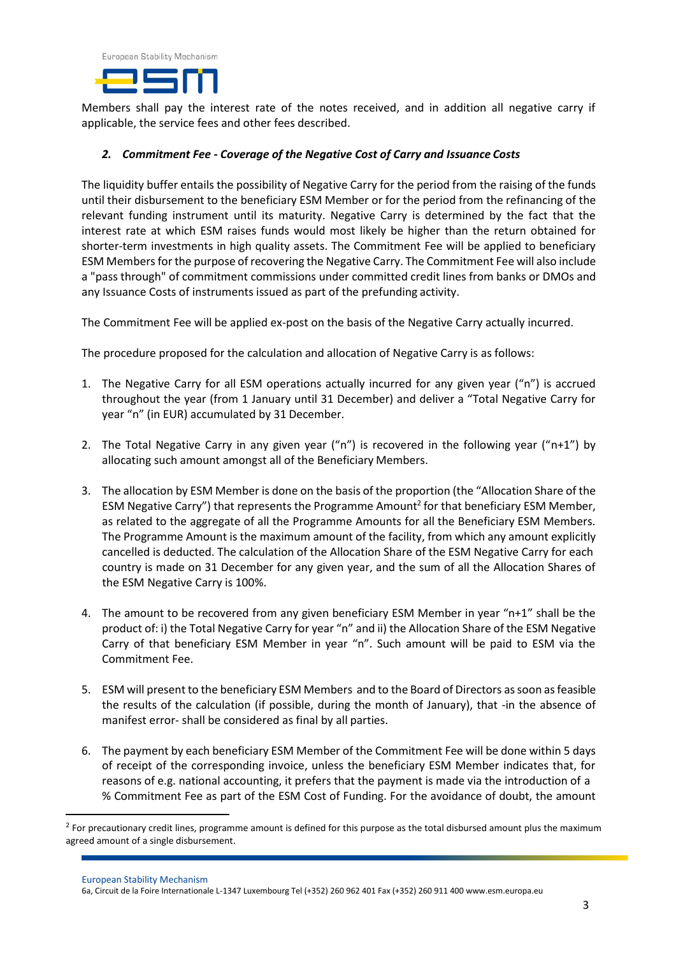

Members shall pay the interest rate of the notes received, and in addition all negative carry if applicable, the service fees and other fees described.

#### *2. Commitment Fee - Coverage of the Negative Cost of Carry and Issuance Costs*

The liquidity buffer entails the possibility of Negative Carry for the period from the raising of the funds until their disbursement to the beneficiary ESM Member or for the period from the refinancing of the relevant funding instrument until its maturity. Negative Carry is determined by the fact that the interest rate at which ESM raises funds would most likely be higher than the return obtained for shorter-term investments in high quality assets. The Commitment Fee will be applied to beneficiary ESM Membersforthe purpose of recovering the Negative Carry. The Commitment Fee will also include a "pass through" of commitment commissions under committed credit lines from banks or DMOs and any Issuance Costs of instruments issued as part of the prefunding activity.

The Commitment Fee will be applied ex-post on the basis of the Negative Carry actually incurred.

The procedure proposed for the calculation and allocation of Negative Carry is as follows:

- 1. The Negative Carry for all ESM operations actually incurred for any given year ("n") is accrued throughout the year (from 1 January until 31 December) and deliver a "Total Negative Carry for year "n" (in EUR) accumulated by 31 December.
- 2. The Total Negative Carry in any given year ("n") is recovered in the following year ("n+1") by allocating such amount amongst all of the Beneficiary Members.
- <span id="page-2-0"></span>3. The allocation by ESM Member is done on the basis of the proportion (the "Allocation Share of the ESM Negative Carry") that represents the Programme Amount<sup>2</sup> [f](#page-2-0)or that beneficiary ESM Member, as related to the aggregate of all the Programme Amounts for all the Beneficiary ESM Members. The Programme Amount is the maximum amount of the facility, from which any amount explicitly cancelled is deducted. The calculation of the Allocation Share of the ESM Negative Carry for each country is made on 31 December for any given year, and the sum of all the Allocation Shares of the ESM Negative Carry is 100%.
- 4. The amount to be recovered from any given beneficiary ESM Member in year "n+1" shall be the product of: i) the Total Negative Carry for year "n" and ii) the Allocation Share of the ESM Negative Carry of that beneficiary ESM Member in year "n". Such amount will be paid to ESM via the Commitment Fee.
- 5. ESM will present to the beneficiary ESM Members and to the Board of Directors assoon asfeasible the results of the calculation (if possible, during the month of January), that -in the absence of manifest error- shall be considered as final by all parties.
- 6. The payment by each beneficiary ESM Member of the Commitment Fee will be done within 5 days of receipt of the corresponding invoice, unless the beneficiary ESM Member indicates that, for reasons of e.g. national accounting, it prefers that the payment is made via the introduction of a % Commitment Fee as part of the ESM Cost of Funding. For the avoidance of doubt, the amount

European Stability Mechanism

1

<sup>&</sup>lt;sup>2</sup> For precautionary credit lines, programme amount is defined for this purpose as the total disbursed amount plus the maximum agreed amount of a single disbursement.

<sup>6</sup>a, Circuit de la Foire Internationale L-1347 Luxembourg Tel (+352) 260 962 401 Fax (+352) 260 911 40[0 www.esm.europa.eu](http://www.esm.europa.eu/)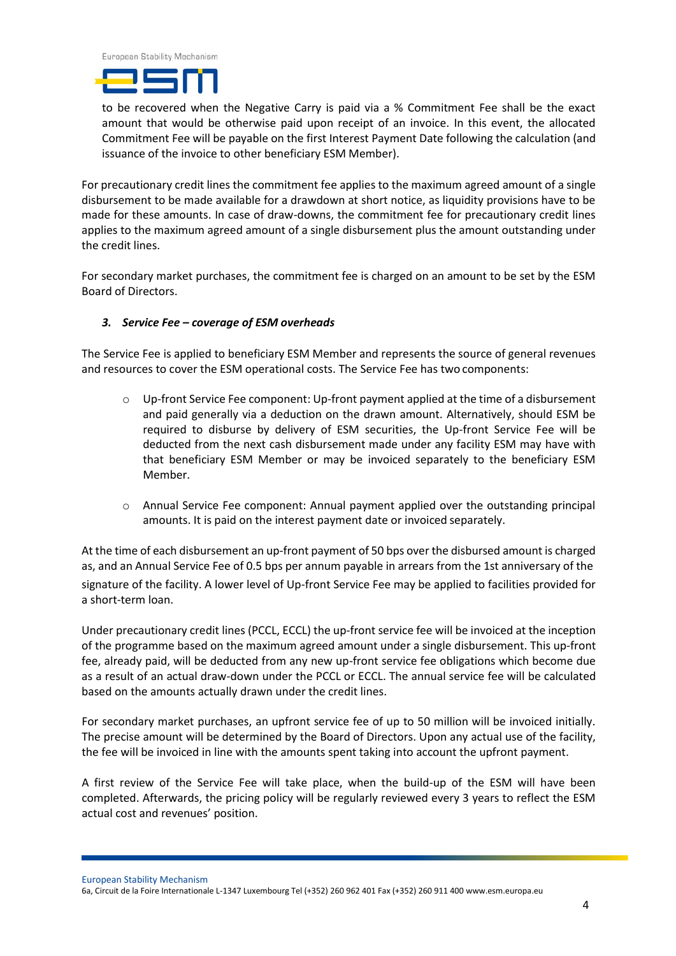

to be recovered when the Negative Carry is paid via a % Commitment Fee shall be the exact amount that would be otherwise paid upon receipt of an invoice. In this event, the allocated Commitment Fee will be payable on the first Interest Payment Date following the calculation (and issuance of the invoice to other beneficiary ESM Member).

For precautionary credit lines the commitment fee applies to the maximum agreed amount of a single disbursement to be made available for a drawdown at short notice, as liquidity provisions have to be made for these amounts. In case of draw-downs, the commitment fee for precautionary credit lines applies to the maximum agreed amount of a single disbursement plus the amount outstanding under the credit lines.

For secondary market purchases, the commitment fee is charged on an amount to be set by the ESM Board of Directors.

### *3. Service Fee – coverage of ESM overheads*

The Service Fee is applied to beneficiary ESM Member and represents the source of general revenues and resources to cover the ESM operational costs. The Service Fee has two components:

- o Up-front Service Fee component: Up-front payment applied at the time of a disbursement and paid generally via a deduction on the drawn amount. Alternatively, should ESM be required to disburse by delivery of ESM securities, the Up-front Service Fee will be deducted from the next cash disbursement made under any facility ESM may have with that beneficiary ESM Member or may be invoiced separately to the beneficiary ESM Member.
- o Annual Service Fee component: Annual payment applied over the outstanding principal amounts. It is paid on the interest payment date or invoiced separately.

At the time of each disbursement an up-front payment of 50 bps over the disbursed amount is charged as, and an Annual Service Fee of 0.5 bps per annum payable in arrears from the 1st anniversary of the signature of the facility. A lower level of Up-front Service Fee may be applied to facilities provided for a short-term loan.

Under precautionary credit lines (PCCL, ECCL) the up-front service fee will be invoiced at the inception of the programme based on the maximum agreed amount under a single disbursement. This up-front fee, already paid, will be deducted from any new up-front service fee obligations which become due as a result of an actual draw-down under the PCCL or ECCL. The annual service fee will be calculated based on the amounts actually drawn under the credit lines.

For secondary market purchases, an upfront service fee of up to 50 million will be invoiced initially. The precise amount will be determined by the Board of Directors. Upon any actual use of the facility, the fee will be invoiced in line with the amounts spent taking into account the upfront payment.

A first review of the Service Fee will take place, when the build-up of the ESM will have been completed. Afterwards, the pricing policy will be regularly reviewed every 3 years to reflect the ESM actual cost and revenues' position.

European Stability Mechanism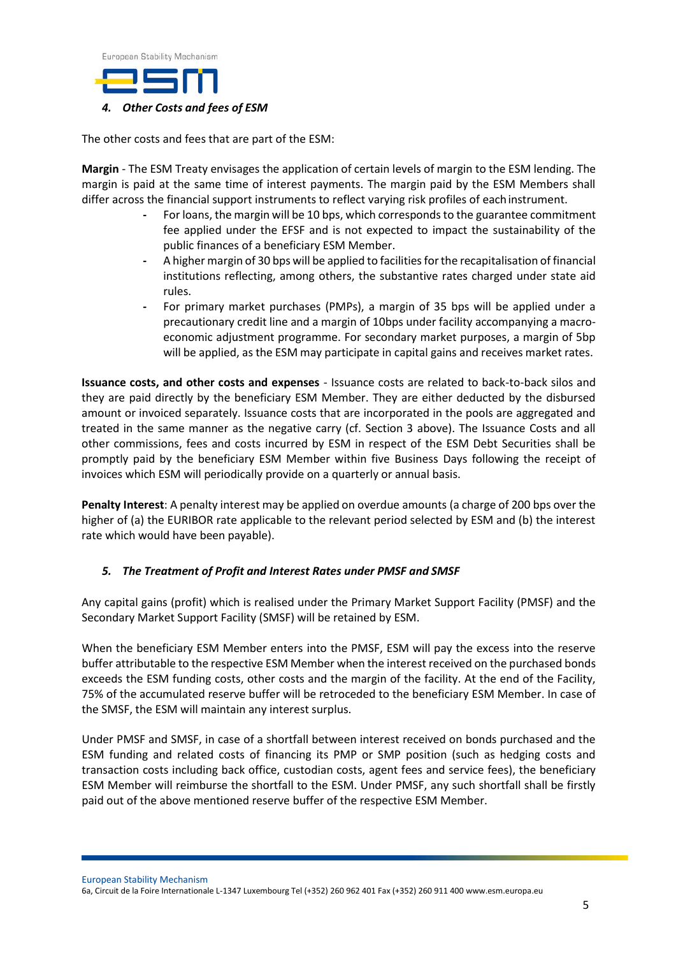European Stability Mechanism



The other costs and fees that are part of the ESM:

**Margin** - The ESM Treaty envisages the application of certain levels of margin to the ESM lending. The margin is paid at the same time of interest payments. The margin paid by the ESM Members shall differ across the financial support instruments to reflect varying risk profiles of eachinstrument.

- **-** For loans, the margin will be 10 bps, which correspondsto the guarantee commitment fee applied under the EFSF and is not expected to impact the sustainability of the public finances of a beneficiary ESM Member.
- **-** A higher margin of 30 bps will be applied to facilitiesforthe recapitalisation of financial institutions reflecting, among others, the substantive rates charged under state aid rules.
- **-** For primary market purchases (PMPs), a margin of 35 bps will be applied under a precautionary credit line and a margin of 10bps under facility accompanying a macroeconomic adjustment programme. For secondary market purposes, a margin of 5bp will be applied, as the ESM may participate in capital gains and receives market rates.

**Issuance costs, and other costs and expenses** - Issuance costs are related to back-to-back silos and they are paid directly by the beneficiary ESM Member. They are either deducted by the disbursed amount or invoiced separately. Issuance costs that are incorporated in the pools are aggregated and treated in the same manner as the negative carry (cf. Section 3 above). The Issuance Costs and all other commissions, fees and costs incurred by ESM in respect of the ESM Debt Securities shall be promptly paid by the beneficiary ESM Member within five Business Days following the receipt of invoices which ESM will periodically provide on a quarterly or annual basis.

**Penalty Interest**: A penalty interest may be applied on overdue amounts (a charge of 200 bps over the higher of (a) the EURIBOR rate applicable to the relevant period selected by ESM and (b) the interest rate which would have been payable).

### *5. The Treatment of Profit and Interest Rates under PMSF and SMSF*

Any capital gains (profit) which is realised under the Primary Market Support Facility (PMSF) and the Secondary Market Support Facility (SMSF) will be retained by ESM.

When the beneficiary ESM Member enters into the PMSF, ESM will pay the excess into the reserve buffer attributable to the respective ESM Member when the interest received on the purchased bonds exceeds the ESM funding costs, other costs and the margin of the facility. At the end of the Facility, 75% of the accumulated reserve buffer will be retroceded to the beneficiary ESM Member. In case of the SMSF, the ESM will maintain any interest surplus.

Under PMSF and SMSF, in case of a shortfall between interest received on bonds purchased and the ESM funding and related costs of financing its PMP or SMP position (such as hedging costs and transaction costs including back office, custodian costs, agent fees and service fees), the beneficiary ESM Member will reimburse the shortfall to the ESM. Under PMSF, any such shortfall shall be firstly paid out of the above mentioned reserve buffer of the respective ESM Member.

European Stability Mechanism 6a, Circuit de la Foire Internationale L-1347 Luxembourg Tel (+352) 260 962 401 Fax (+352) 260 911 40[0 www.esm.europa.eu](http://www.esm.europa.eu/)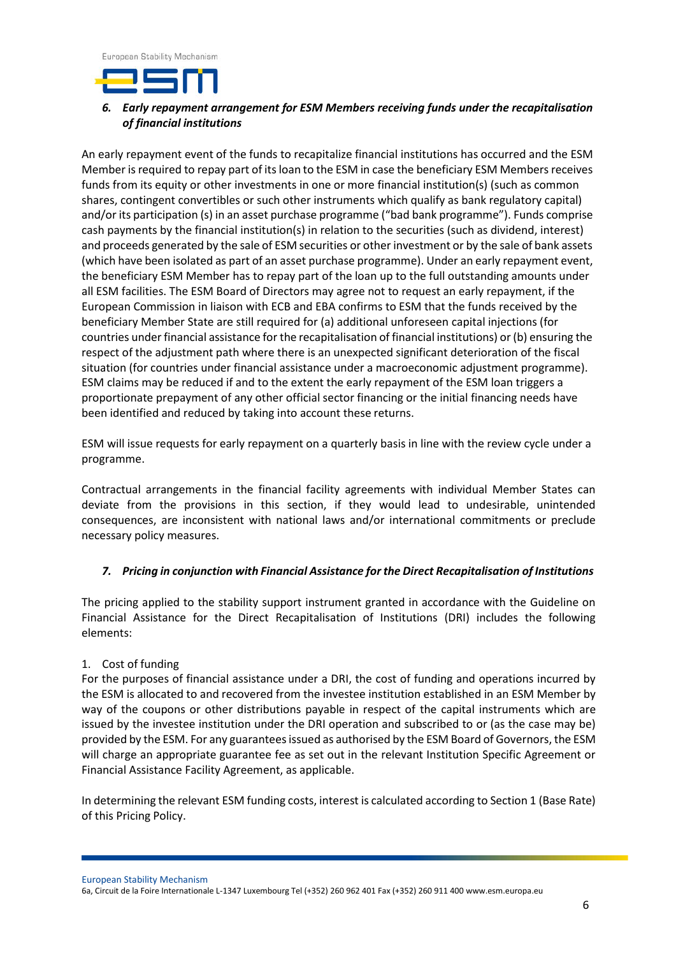European Stability Mechanism



# *6. Early repayment arrangement for ESM Members receiving funds under the recapitalisation of financial institutions*

An early repayment event of the funds to recapitalize financial institutions has occurred and the ESM Member is required to repay part of its loan to the ESM in case the beneficiary ESM Members receives funds from its equity or other investments in one or more financial institution(s) (such as common shares, contingent convertibles or such other instruments which qualify as bank regulatory capital) and/or its participation (s) in an asset purchase programme ("bad bank programme"). Funds comprise cash payments by the financial institution(s) in relation to the securities (such as dividend, interest) and proceeds generated by the sale of ESM securities or otherinvestment or by the sale of bank assets (which have been isolated as part of an asset purchase programme). Under an early repayment event, the beneficiary ESM Member has to repay part of the loan up to the full outstanding amounts under all ESM facilities. The ESM Board of Directors may agree not to request an early repayment, if the European Commission in liaison with ECB and EBA confirms to ESM that the funds received by the beneficiary Member State are still required for (a) additional unforeseen capital injections (for countries underfinancial assistance for the recapitalisation of financial institutions) or(b) ensuring the respect of the adjustment path where there is an unexpected significant deterioration of the fiscal situation (for countries under financial assistance under a macroeconomic adjustment programme). ESM claims may be reduced if and to the extent the early repayment of the ESM loan triggers a proportionate prepayment of any other official sector financing or the initial financing needs have been identified and reduced by taking into account these returns.

ESM will issue requests for early repayment on a quarterly basis in line with the review cycle under a programme.

Contractual arrangements in the financial facility agreements with individual Member States can deviate from the provisions in this section, if they would lead to undesirable, unintended consequences, are inconsistent with national laws and/or international commitments or preclude necessary policy measures.

### *7. Pricing in conjunction with Financial Assistance for the Direct Recapitalisation of Institutions*

The pricing applied to the stability support instrument granted in accordance with the Guideline on Financial Assistance for the Direct Recapitalisation of Institutions (DRI) includes the following elements:

### 1. Cost of funding

For the purposes of financial assistance under a DRI, the cost of funding and operations incurred by the ESM is allocated to and recovered from the investee institution established in an ESM Member by way of the coupons or other distributions payable in respect of the capital instruments which are issued by the investee institution under the DRI operation and subscribed to or (as the case may be) provided by the ESM. For any guarantees issued as authorised by the ESM Board of Governors, the ESM will charge an appropriate guarantee fee as set out in the relevant Institution Specific Agreement or Financial Assistance Facility Agreement, as applicable.

In determining the relevant ESM funding costs, interest is calculated according to Section 1 (Base Rate) of this Pricing Policy.

European Stability Mechanism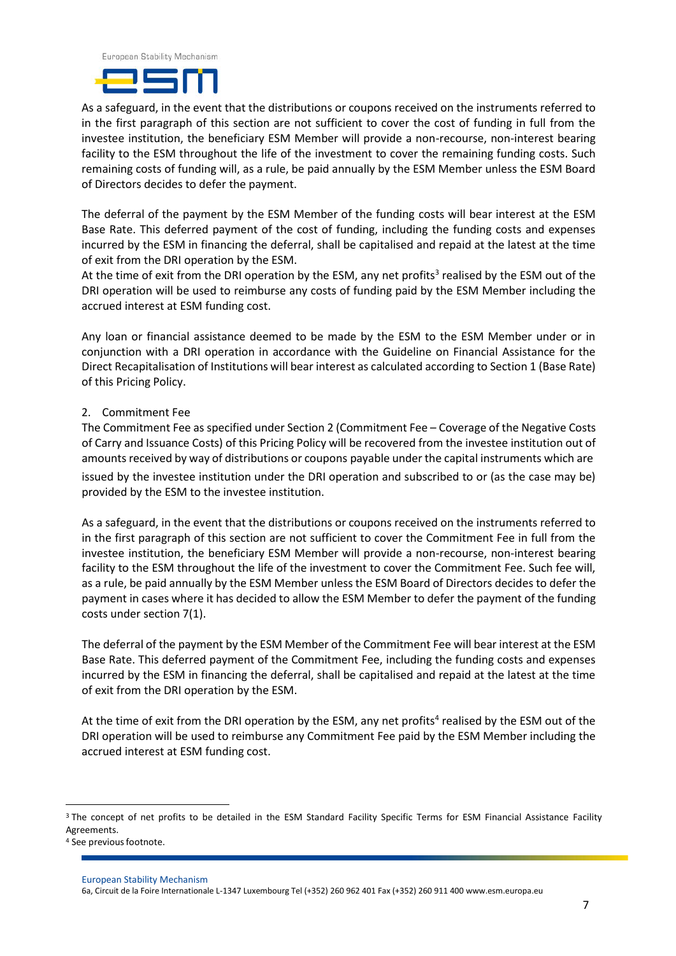



As a safeguard, in the event that the distributions or coupons received on the instruments referred to in the first paragraph of this section are not sufficient to cover the cost of funding in full from the investee institution, the beneficiary ESM Member will provide a non-recourse, non-interest bearing facility to the ESM throughout the life of the investment to cover the remaining funding costs. Such remaining costs of funding will, as a rule, be paid annually by the ESM Member unless the ESM Board of Directors decides to defer the payment.

The deferral of the payment by the ESM Member of the funding costs will bear interest at the ESM Base Rate. This deferred payment of the cost of funding, including the funding costs and expenses incurred by the ESM in financing the deferral, shall be capitalised and repaid at the latest at the time of exit from the DRI operation by the ESM.

At the time of exit from the DRI operation by the ESM, any net profits<sup>3</sup> realised by the ESM out of the DRI operation will be used to reimburse any costs of funding paid by the ESM Member including the accrued interest at ESM funding cost.

Any loan or financial assistance deemed to be made by the ESM to the ESM Member under or in conjunction with a DRI operation in accordance with the Guideline on Financial Assistance for the Direct Recapitalisation of Institutions will bear interest as calculated according to Section 1 (Base Rate) of this Pricing Policy.

#### 2. Commitment Fee

The Commitment Fee as specified under Section 2 (Commitment Fee – Coverage of the Negative Costs of Carry and Issuance Costs) of this Pricing Policy will be recovered from the investee institution out of amounts received by way of distributions or coupons payable under the capital instruments which are

issued by the investee institution under the DRI operation and subscribed to or (as the case may be) provided by the ESM to the investee institution.

As a safeguard, in the event that the distributions or coupons received on the instruments referred to in the first paragraph of this section are not sufficient to cover the Commitment Fee in full from the investee institution, the beneficiary ESM Member will provide a non-recourse, non-interest bearing facility to the ESM throughout the life of the investment to cover the Commitment Fee. Such fee will, as a rule, be paid annually by the ESM Member unless the ESM Board of Directors decides to defer the payment in cases where it has decided to allow the ESM Member to defer the payment of the funding costs under section 7(1).

The deferral of the payment by the ESM Member of the Commitment Fee will bear interest at the ESM Base Rate. This deferred payment of the Commitment Fee, including the funding costs and expenses incurred by the ESM in financing the deferral, shall be capitalised and repaid at the latest at the time of exit from the DRI operation by the ESM.

At the time of exit from the DRI operation by the ESM, any net profits<sup>4</sup> realised by the ESM out of the DRI operation will be used to reimburse any Commitment Fee paid by the ESM Member including the accrued interest at ESM funding cost.

1

<sup>&</sup>lt;sup>3</sup> The concept of net profits to be detailed in the ESM Standard Facility Specific Terms for ESM Financial Assistance Facility Agreements.

<sup>&</sup>lt;sup>4</sup> See previous footnote.

European Stability Mechanism

<sup>6</sup>a, Circuit de la Foire Internationale L-1347 Luxembourg Tel (+352) 260 962 401 Fax (+352) 260 911 40[0 www.esm.europa.eu](http://www.esm.europa.eu/)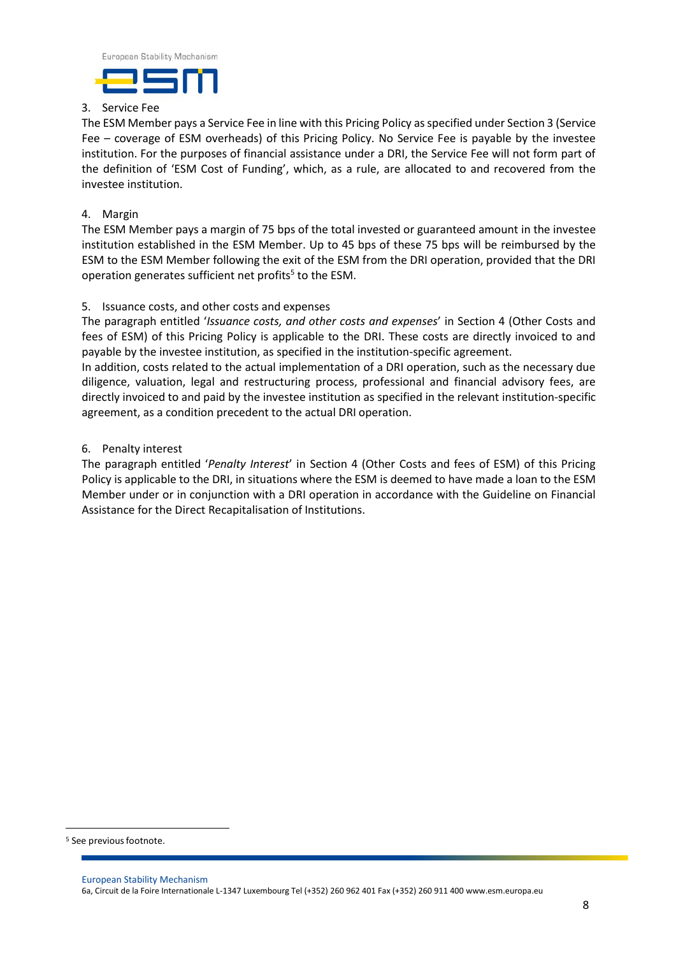

### 3. Service Fee

The ESM Member pays a Service Fee in line with this Pricing Policy asspecified under Section 3 (Service Fee – coverage of ESM overheads) of this Pricing Policy. No Service Fee is payable by the investee institution. For the purposes of financial assistance under a DRI, the Service Fee will not form part of the definition of 'ESM Cost of Funding', which, as a rule, are allocated to and recovered from the investee institution.

### 4. Margin

The ESM Member pays a margin of 75 bps of the total invested or guaranteed amount in the investee institution established in the ESM Member. Up to 45 bps of these 75 bps will be reimbursed by the ESM to the ESM Member following the exit of the ESM from the DRI operation, provided that the DRI operation generates sufficient net profits<sup>5</sup> to the ESM.

### 5. Issuance costs, and other costs and expenses

The paragraph entitled '*Issuance costs, and other costs and expenses*' in Section 4 (Other Costs and fees of ESM) of this Pricing Policy is applicable to the DRI. These costs are directly invoiced to and payable by the investee institution, as specified in the institution-specific agreement.

In addition, costs related to the actual implementation of a DRI operation, such as the necessary due diligence, valuation, legal and restructuring process, professional and financial advisory fees, are directly invoiced to and paid by the investee institution as specified in the relevant institution-specific agreement, as a condition precedent to the actual DRI operation.

### 6. Penalty interest

The paragraph entitled '*Penalty Interest*' in Section 4 (Other Costs and fees of ESM) of this Pricing Policy is applicable to the DRI, in situations where the ESM is deemed to have made a loan to the ESM Member under or in conjunction with a DRI operation in accordance with the Guideline on Financial Assistance for the Direct Recapitalisation of Institutions.

 $\overline{a}$ 

<sup>&</sup>lt;sup>5</sup> See previous footnote.

European Stability Mechanism 6a, Circuit de la Foire Internationale L-1347 Luxembourg Tel (+352) 260 962 401 Fax (+352) 260 911 40[0 www.esm.europa.eu](http://www.esm.europa.eu/)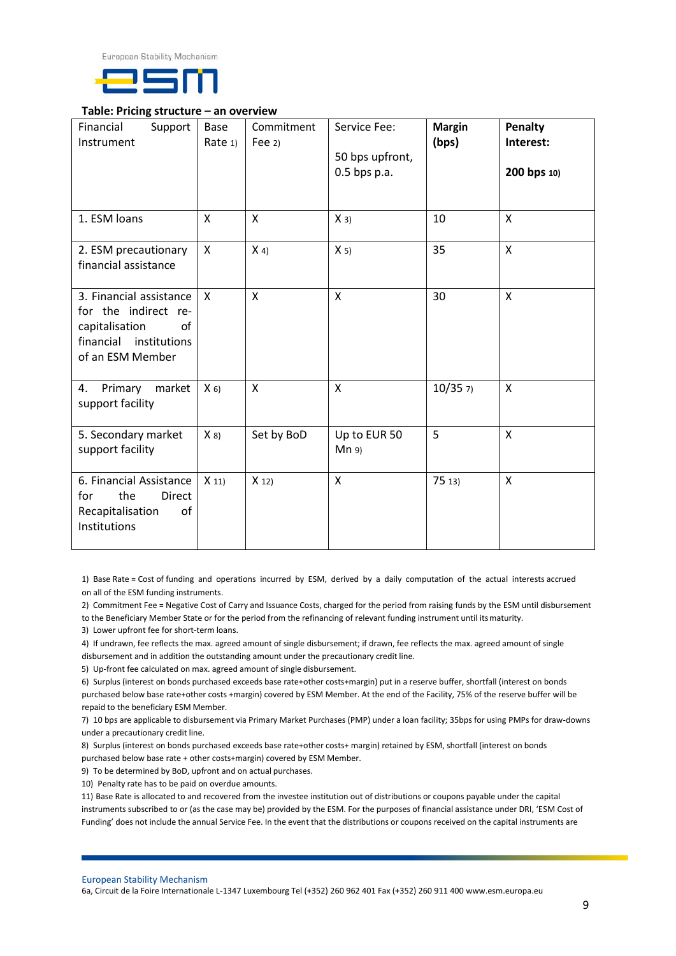



#### **Table: Pricing structure – an overview**

| Financial<br>Support<br>Instrument                                                                                    | Base<br>Rate 1) | Commitment<br>Fee $2)$ | Service Fee:<br>50 bps upfront,<br>$0.5$ bps p.a. | <b>Margin</b><br>(bps) | Penalty<br>Interest:<br>200 bps 10) |
|-----------------------------------------------------------------------------------------------------------------------|-----------------|------------------------|---------------------------------------------------|------------------------|-------------------------------------|
| 1. ESM loans                                                                                                          | $\mathsf{x}$    | $\mathsf{X}$           | $X_3$                                             | 10                     | $\mathsf{x}$                        |
| 2. ESM precautionary<br>financial assistance                                                                          | X               | $X_4$                  | $X_5$                                             | 35                     | $\mathsf{x}$                        |
| 3. Financial assistance<br>for the indirect re-<br>capitalisation<br>of<br>financial institutions<br>of an ESM Member | $\mathsf{x}$    | $\mathsf{x}$           | $\mathsf{x}$                                      | 30                     | $\mathsf{x}$                        |
| Primary<br>market<br>4.<br>support facility                                                                           | $X_6$           | $\mathsf{x}$           | X                                                 | 10/357                 | $\mathsf{x}$                        |
| 5. Secondary market<br>support facility                                                                               | $X_8$           | Set by BoD             | Up to EUR 50<br>Mn 9                              | 5                      | $\mathsf{x}$                        |
| 6. Financial Assistance<br>the<br>Direct<br>for<br>Recapitalisation<br>of<br>Institutions                             | $X_11$          | $X_12$                 | $\mathsf{x}$                                      | 7513                   | $\mathsf{x}$                        |

1) Base Rate = Cost of funding and operations incurred by ESM, derived by a daily computation of the actual interests accrued on all of the ESM funding instruments.

2) Commitment Fee = Negative Cost of Carry and Issuance Costs, charged for the period from raising funds by the ESM until disbursement

to the Beneficiary Member State or for the period from the refinancing of relevant funding instrument until itsmaturity.

3) Lower upfront fee for short-term loans.

4) If undrawn, fee reflects the max. agreed amount of single disbursement; if drawn, fee reflects the max. agreed amount of single

disbursement and in addition the outstanding amount under the precautionary credit line.

5) Up-front fee calculated on max. agreed amount of single disbursement.

6) Surplus (interest on bonds purchased exceeds base rate+other costs+margin) put in a reserve buffer, shortfall (interest on bonds purchased below base rate+other costs +margin) covered by ESM Member. At the end of the Facility, 75% of the reserve buffer will be repaid to the beneficiary ESM Member.

7) 10 bps are applicable to disbursement via Primary Market Purchases (PMP) under a loan facility; 35bps for using PMPs for draw-downs under a precautionary credit line.

8) Surplus (interest on bonds purchased exceeds base rate+other costs+ margin) retained by ESM, shortfall (interest on bonds purchased below base rate + other costs+margin) covered by ESM Member.

9) To be determined by BoD, upfront and on actual purchases.

10) Penalty rate has to be paid on overdue amounts.

11) Base Rate is allocated to and recovered from the investee institution out of distributions or coupons payable under the capital instruments subscribed to or (as the case may be) provided by the ESM. For the purposes of financial assistance under DRI, 'ESM Cost of Funding' does not include the annual Service Fee. In the event that the distributions or coupons received on the capital instruments are

European Stability Mechanism